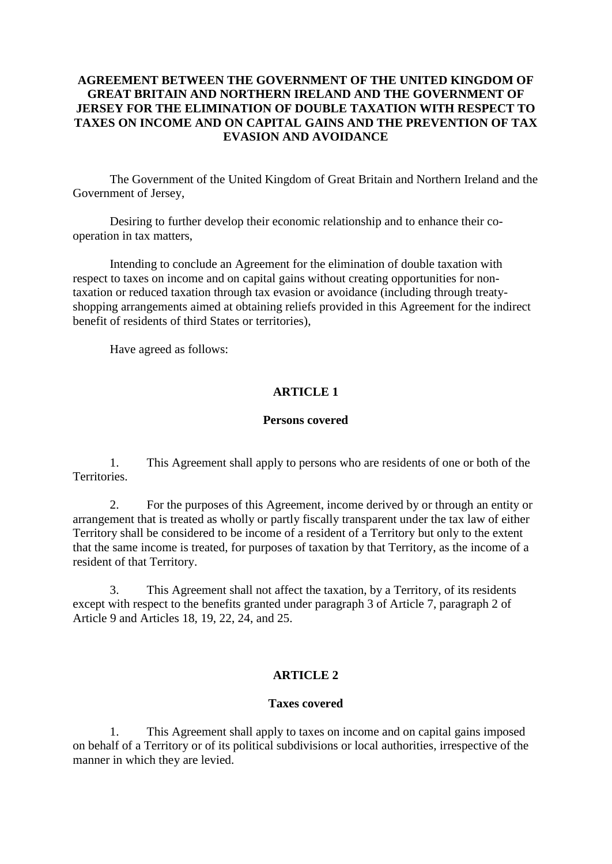### **AGREEMENT BETWEEN THE GOVERNMENT OF THE UNITED KINGDOM OF GREAT BRITAIN AND NORTHERN IRELAND AND THE GOVERNMENT OF JERSEY FOR THE ELIMINATION OF DOUBLE TAXATION WITH RESPECT TO TAXES ON INCOME AND ON CAPITAL GAINS AND THE PREVENTION OF TAX EVASION AND AVOIDANCE**

The Government of the United Kingdom of Great Britain and Northern Ireland and the Government of Jersey,

Desiring to further develop their economic relationship and to enhance their cooperation in tax matters,

Intending to conclude an Agreement for the elimination of double taxation with respect to taxes on income and on capital gains without creating opportunities for nontaxation or reduced taxation through tax evasion or avoidance (including through treatyshopping arrangements aimed at obtaining reliefs provided in this Agreement for the indirect benefit of residents of third States or territories),

Have agreed as follows:

#### **ARTICLE 1**

### **Persons covered**

1. This Agreement shall apply to persons who are residents of one or both of the Territories.

2. For the purposes of this Agreement, income derived by or through an entity or arrangement that is treated as wholly or partly fiscally transparent under the tax law of either Territory shall be considered to be income of a resident of a Territory but only to the extent that the same income is treated, for purposes of taxation by that Territory, as the income of a resident of that Territory.

3. This Agreement shall not affect the taxation, by a Territory, of its residents except with respect to the benefits granted under paragraph 3 of Article 7, paragraph 2 of Article 9 and Articles 18, 19, 22, 24, and 25.

#### **ARTICLE 2**

#### **Taxes covered**

1. This Agreement shall apply to taxes on income and on capital gains imposed on behalf of a Territory or of its political subdivisions or local authorities, irrespective of the manner in which they are levied.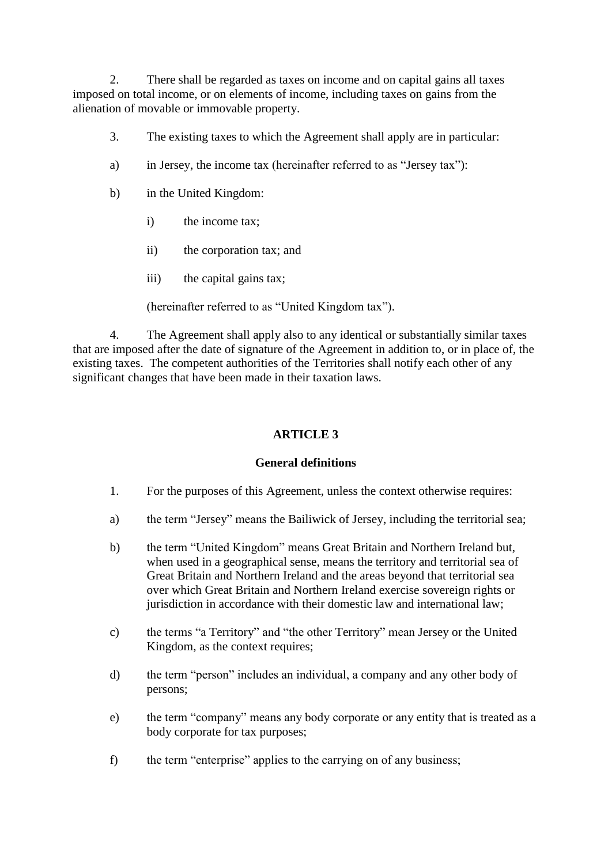2. There shall be regarded as taxes on income and on capital gains all taxes imposed on total income, or on elements of income, including taxes on gains from the alienation of movable or immovable property.

- 3. The existing taxes to which the Agreement shall apply are in particular:
- a) in Jersey, the income tax (hereinafter referred to as "Jersey tax"):
- b) in the United Kingdom:
	- i) the income tax:
	- ii) the corporation tax; and
	- iii) the capital gains tax;

(hereinafter referred to as "United Kingdom tax").

4. The Agreement shall apply also to any identical or substantially similar taxes that are imposed after the date of signature of the Agreement in addition to, or in place of, the existing taxes. The competent authorities of the Territories shall notify each other of any significant changes that have been made in their taxation laws.

# **ARTICLE 3**

## **General definitions**

- 1. For the purposes of this Agreement, unless the context otherwise requires:
- a) the term "Jersey" means the Bailiwick of Jersey, including the territorial sea;
- b) the term "United Kingdom" means Great Britain and Northern Ireland but, when used in a geographical sense, means the territory and territorial sea of Great Britain and Northern Ireland and the areas beyond that territorial sea over which Great Britain and Northern Ireland exercise sovereign rights or jurisdiction in accordance with their domestic law and international law;
- c) the terms "a Territory" and "the other Territory" mean Jersey or the United Kingdom, as the context requires;
- d) the term "person" includes an individual, a company and any other body of persons;
- e) the term "company" means any body corporate or any entity that is treated as a body corporate for tax purposes;
- f) the term "enterprise" applies to the carrying on of any business;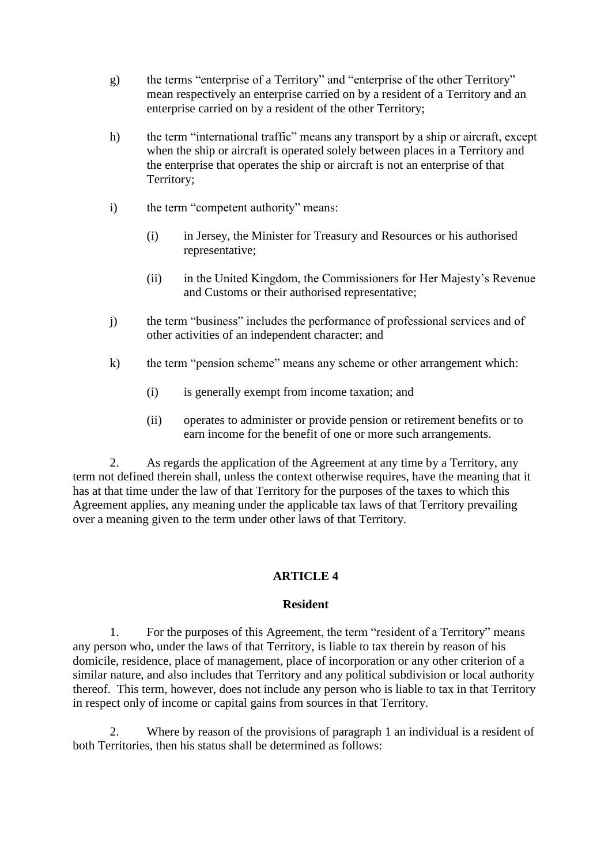- g) the terms "enterprise of a Territory" and "enterprise of the other Territory" mean respectively an enterprise carried on by a resident of a Territory and an enterprise carried on by a resident of the other Territory;
- h) the term "international traffic" means any transport by a ship or aircraft, except when the ship or aircraft is operated solely between places in a Territory and the enterprise that operates the ship or aircraft is not an enterprise of that Territory;
- i) the term "competent authority" means:
	- (i) in Jersey, the Minister for Treasury and Resources or his authorised representative;
	- (ii) in the United Kingdom, the Commissioners for Her Majesty's Revenue and Customs or their authorised representative;
- j) the term "business" includes the performance of professional services and of other activities of an independent character; and
- k) the term "pension scheme" means any scheme or other arrangement which:
	- (i) is generally exempt from income taxation; and
	- (ii) operates to administer or provide pension or retirement benefits or to earn income for the benefit of one or more such arrangements.

2. As regards the application of the Agreement at any time by a Territory, any term not defined therein shall, unless the context otherwise requires, have the meaning that it has at that time under the law of that Territory for the purposes of the taxes to which this Agreement applies, any meaning under the applicable tax laws of that Territory prevailing over a meaning given to the term under other laws of that Territory.

## **ARTICLE 4**

#### **Resident**

1. For the purposes of this Agreement, the term "resident of a Territory" means any person who, under the laws of that Territory, is liable to tax therein by reason of his domicile, residence, place of management, place of incorporation or any other criterion of a similar nature, and also includes that Territory and any political subdivision or local authority thereof. This term, however, does not include any person who is liable to tax in that Territory in respect only of income or capital gains from sources in that Territory.

2. Where by reason of the provisions of paragraph 1 an individual is a resident of both Territories, then his status shall be determined as follows: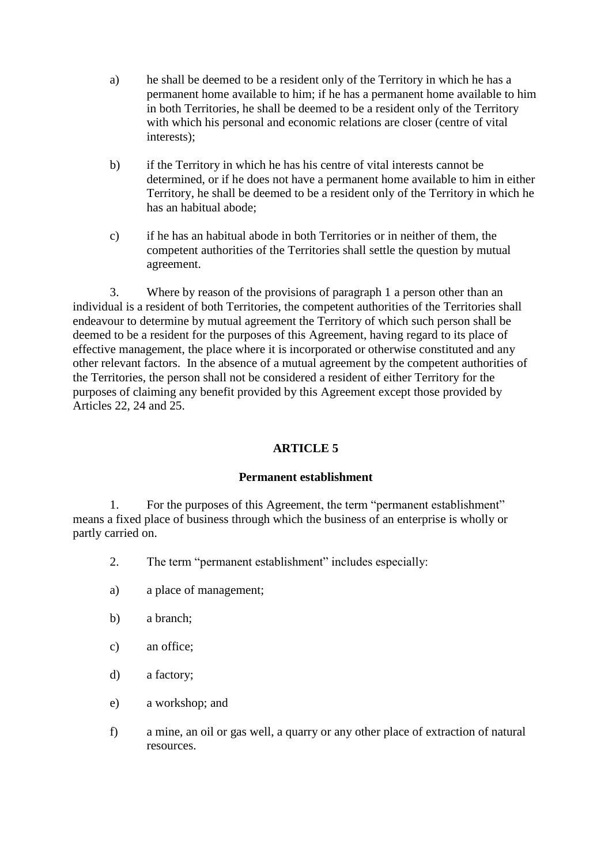- a) he shall be deemed to be a resident only of the Territory in which he has a permanent home available to him; if he has a permanent home available to him in both Territories, he shall be deemed to be a resident only of the Territory with which his personal and economic relations are closer (centre of vital interests);
- b) if the Territory in which he has his centre of vital interests cannot be determined, or if he does not have a permanent home available to him in either Territory, he shall be deemed to be a resident only of the Territory in which he has an habitual abode;
- c) if he has an habitual abode in both Territories or in neither of them, the competent authorities of the Territories shall settle the question by mutual agreement.

3. Where by reason of the provisions of paragraph 1 a person other than an individual is a resident of both Territories, the competent authorities of the Territories shall endeavour to determine by mutual agreement the Territory of which such person shall be deemed to be a resident for the purposes of this Agreement, having regard to its place of effective management, the place where it is incorporated or otherwise constituted and any other relevant factors. In the absence of a mutual agreement by the competent authorities of the Territories, the person shall not be considered a resident of either Territory for the purposes of claiming any benefit provided by this Agreement except those provided by Articles 22, 24 and 25.

## **ARTICLE 5**

#### **Permanent establishment**

1. For the purposes of this Agreement, the term "permanent establishment" means a fixed place of business through which the business of an enterprise is wholly or partly carried on.

- 2. The term "permanent establishment" includes especially:
- a) a place of management;
- b) a branch;
- c) an office;
- d) a factory;
- e) a workshop; and
- f) a mine, an oil or gas well, a quarry or any other place of extraction of natural resources.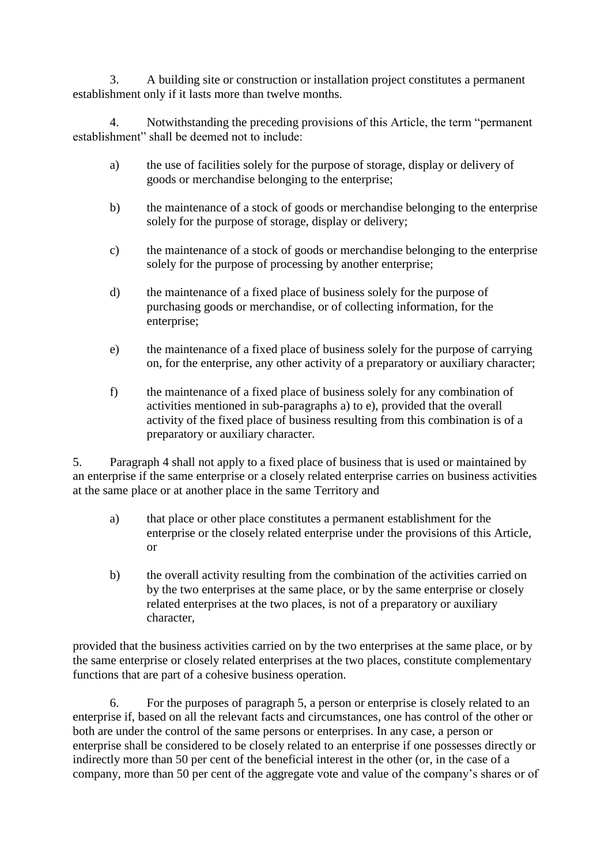3. A building site or construction or installation project constitutes a permanent establishment only if it lasts more than twelve months.

4. Notwithstanding the preceding provisions of this Article, the term "permanent establishment" shall be deemed not to include:

- a) the use of facilities solely for the purpose of storage, display or delivery of goods or merchandise belonging to the enterprise;
- b) the maintenance of a stock of goods or merchandise belonging to the enterprise solely for the purpose of storage, display or delivery;
- c) the maintenance of a stock of goods or merchandise belonging to the enterprise solely for the purpose of processing by another enterprise;
- d) the maintenance of a fixed place of business solely for the purpose of purchasing goods or merchandise, or of collecting information, for the enterprise;
- e) the maintenance of a fixed place of business solely for the purpose of carrying on, for the enterprise, any other activity of a preparatory or auxiliary character;
- f) the maintenance of a fixed place of business solely for any combination of activities mentioned in sub-paragraphs a) to e), provided that the overall activity of the fixed place of business resulting from this combination is of a preparatory or auxiliary character.

5. Paragraph 4 shall not apply to a fixed place of business that is used or maintained by an enterprise if the same enterprise or a closely related enterprise carries on business activities at the same place or at another place in the same Territory and

- a) that place or other place constitutes a permanent establishment for the enterprise or the closely related enterprise under the provisions of this Article, or
- b) the overall activity resulting from the combination of the activities carried on by the two enterprises at the same place, or by the same enterprise or closely related enterprises at the two places, is not of a preparatory or auxiliary character,

provided that the business activities carried on by the two enterprises at the same place, or by the same enterprise or closely related enterprises at the two places, constitute complementary functions that are part of a cohesive business operation.

6. For the purposes of paragraph 5, a person or enterprise is closely related to an enterprise if, based on all the relevant facts and circumstances, one has control of the other or both are under the control of the same persons or enterprises. In any case, a person or enterprise shall be considered to be closely related to an enterprise if one possesses directly or indirectly more than 50 per cent of the beneficial interest in the other (or, in the case of a company, more than 50 per cent of the aggregate vote and value of the company's shares or of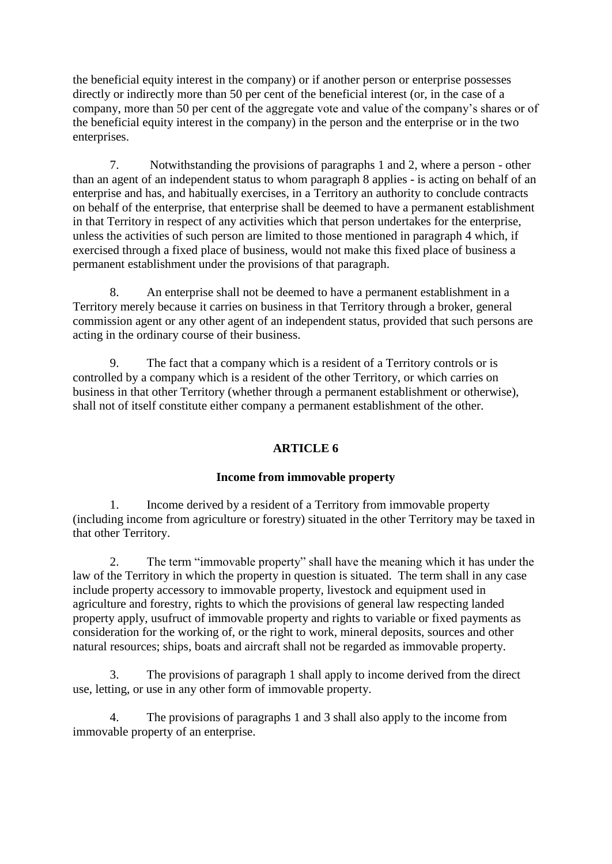the beneficial equity interest in the company) or if another person or enterprise possesses directly or indirectly more than 50 per cent of the beneficial interest (or, in the case of a company, more than 50 per cent of the aggregate vote and value of the company's shares or of the beneficial equity interest in the company) in the person and the enterprise or in the two enterprises.

7. Notwithstanding the provisions of paragraphs 1 and 2, where a person - other than an agent of an independent status to whom paragraph 8 applies - is acting on behalf of an enterprise and has, and habitually exercises, in a Territory an authority to conclude contracts on behalf of the enterprise, that enterprise shall be deemed to have a permanent establishment in that Territory in respect of any activities which that person undertakes for the enterprise, unless the activities of such person are limited to those mentioned in paragraph 4 which, if exercised through a fixed place of business, would not make this fixed place of business a permanent establishment under the provisions of that paragraph.

8. An enterprise shall not be deemed to have a permanent establishment in a Territory merely because it carries on business in that Territory through a broker, general commission agent or any other agent of an independent status, provided that such persons are acting in the ordinary course of their business.

9. The fact that a company which is a resident of a Territory controls or is controlled by a company which is a resident of the other Territory, or which carries on business in that other Territory (whether through a permanent establishment or otherwise), shall not of itself constitute either company a permanent establishment of the other.

## **ARTICLE 6**

## **Income from immovable property**

1. Income derived by a resident of a Territory from immovable property (including income from agriculture or forestry) situated in the other Territory may be taxed in that other Territory.

2. The term "immovable property" shall have the meaning which it has under the law of the Territory in which the property in question is situated. The term shall in any case include property accessory to immovable property, livestock and equipment used in agriculture and forestry, rights to which the provisions of general law respecting landed property apply, usufruct of immovable property and rights to variable or fixed payments as consideration for the working of, or the right to work, mineral deposits, sources and other natural resources; ships, boats and aircraft shall not be regarded as immovable property.

3. The provisions of paragraph 1 shall apply to income derived from the direct use, letting, or use in any other form of immovable property.

4. The provisions of paragraphs 1 and 3 shall also apply to the income from immovable property of an enterprise.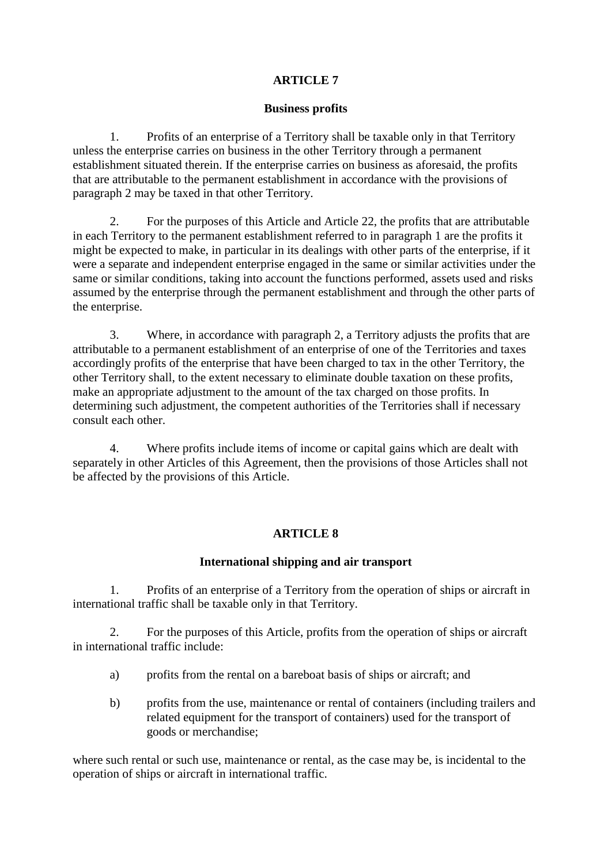## **ARTICLE 7**

### **Business profits**

1. Profits of an enterprise of a Territory shall be taxable only in that Territory unless the enterprise carries on business in the other Territory through a permanent establishment situated therein. If the enterprise carries on business as aforesaid, the profits that are attributable to the permanent establishment in accordance with the provisions of paragraph 2 may be taxed in that other Territory.

2. For the purposes of this Article and Article 22, the profits that are attributable in each Territory to the permanent establishment referred to in paragraph 1 are the profits it might be expected to make, in particular in its dealings with other parts of the enterprise, if it were a separate and independent enterprise engaged in the same or similar activities under the same or similar conditions, taking into account the functions performed, assets used and risks assumed by the enterprise through the permanent establishment and through the other parts of the enterprise.

3. Where, in accordance with paragraph 2, a Territory adjusts the profits that are attributable to a permanent establishment of an enterprise of one of the Territories and taxes accordingly profits of the enterprise that have been charged to tax in the other Territory, the other Territory shall, to the extent necessary to eliminate double taxation on these profits, make an appropriate adjustment to the amount of the tax charged on those profits. In determining such adjustment, the competent authorities of the Territories shall if necessary consult each other.

4. Where profits include items of income or capital gains which are dealt with separately in other Articles of this Agreement, then the provisions of those Articles shall not be affected by the provisions of this Article.

## **ARTICLE 8**

#### **International shipping and air transport**

1. Profits of an enterprise of a Territory from the operation of ships or aircraft in international traffic shall be taxable only in that Territory.

2. For the purposes of this Article, profits from the operation of ships or aircraft in international traffic include:

- a) profits from the rental on a bareboat basis of ships or aircraft; and
- b) profits from the use, maintenance or rental of containers (including trailers and related equipment for the transport of containers) used for the transport of goods or merchandise;

where such rental or such use, maintenance or rental, as the case may be, is incidental to the operation of ships or aircraft in international traffic.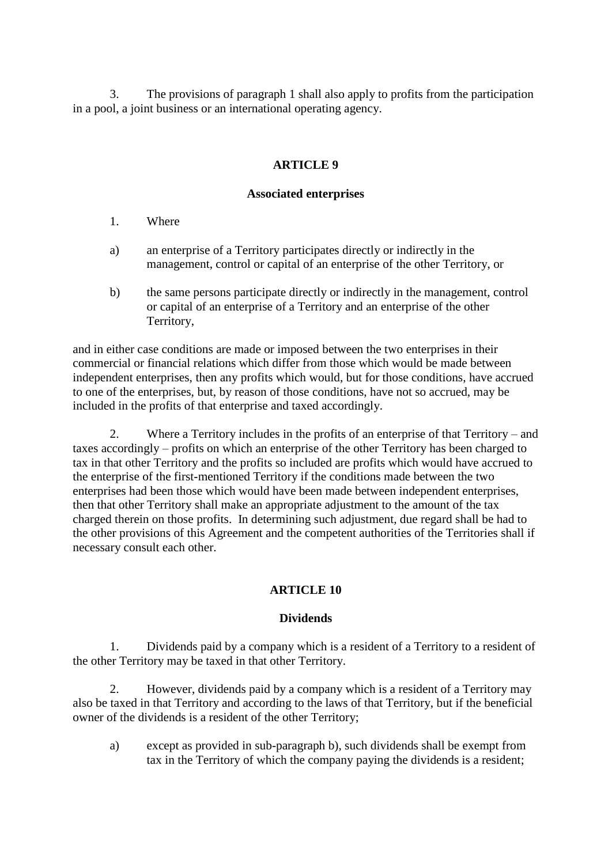3. The provisions of paragraph 1 shall also apply to profits from the participation in a pool, a joint business or an international operating agency.

### **ARTICLE 9**

#### **Associated enterprises**

- 1. Where
- a) an enterprise of a Territory participates directly or indirectly in the management, control or capital of an enterprise of the other Territory, or
- b) the same persons participate directly or indirectly in the management, control or capital of an enterprise of a Territory and an enterprise of the other Territory,

and in either case conditions are made or imposed between the two enterprises in their commercial or financial relations which differ from those which would be made between independent enterprises, then any profits which would, but for those conditions, have accrued to one of the enterprises, but, by reason of those conditions, have not so accrued, may be included in the profits of that enterprise and taxed accordingly.

2. Where a Territory includes in the profits of an enterprise of that Territory – and taxes accordingly – profits on which an enterprise of the other Territory has been charged to tax in that other Territory and the profits so included are profits which would have accrued to the enterprise of the first-mentioned Territory if the conditions made between the two enterprises had been those which would have been made between independent enterprises, then that other Territory shall make an appropriate adjustment to the amount of the tax charged therein on those profits. In determining such adjustment, due regard shall be had to the other provisions of this Agreement and the competent authorities of the Territories shall if necessary consult each other.

## **ARTICLE 10**

#### **Dividends**

1. Dividends paid by a company which is a resident of a Territory to a resident of the other Territory may be taxed in that other Territory.

2. However, dividends paid by a company which is a resident of a Territory may also be taxed in that Territory and according to the laws of that Territory, but if the beneficial owner of the dividends is a resident of the other Territory;

a) except as provided in sub-paragraph b), such dividends shall be exempt from tax in the Territory of which the company paying the dividends is a resident;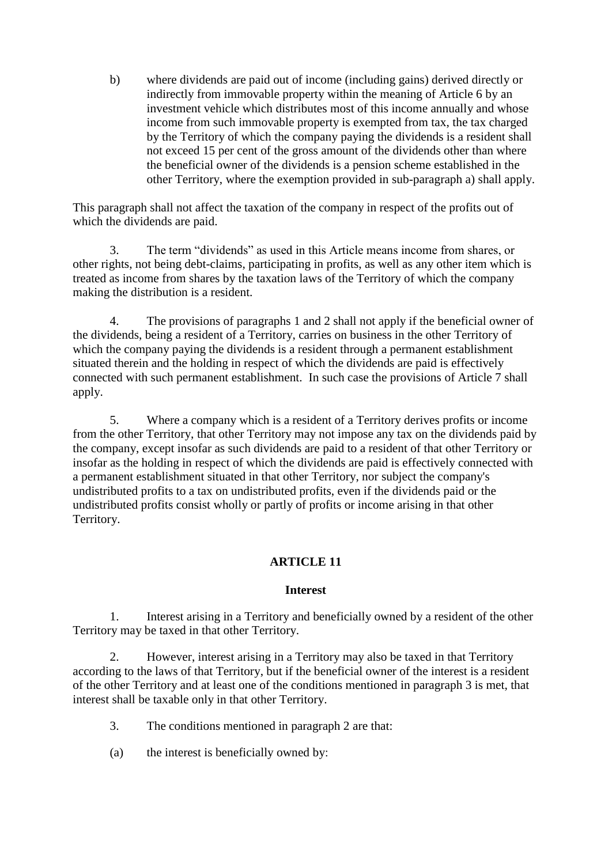b) where dividends are paid out of income (including gains) derived directly or indirectly from immovable property within the meaning of Article 6 by an investment vehicle which distributes most of this income annually and whose income from such immovable property is exempted from tax, the tax charged by the Territory of which the company paying the dividends is a resident shall not exceed 15 per cent of the gross amount of the dividends other than where the beneficial owner of the dividends is a pension scheme established in the other Territory, where the exemption provided in sub-paragraph a) shall apply.

This paragraph shall not affect the taxation of the company in respect of the profits out of which the dividends are paid.

3. The term "dividends" as used in this Article means income from shares, or other rights, not being debt-claims, participating in profits, as well as any other item which is treated as income from shares by the taxation laws of the Territory of which the company making the distribution is a resident.

4. The provisions of paragraphs 1 and 2 shall not apply if the beneficial owner of the dividends, being a resident of a Territory, carries on business in the other Territory of which the company paying the dividends is a resident through a permanent establishment situated therein and the holding in respect of which the dividends are paid is effectively connected with such permanent establishment. In such case the provisions of Article 7 shall apply.

5. Where a company which is a resident of a Territory derives profits or income from the other Territory, that other Territory may not impose any tax on the dividends paid by the company, except insofar as such dividends are paid to a resident of that other Territory or insofar as the holding in respect of which the dividends are paid is effectively connected with a permanent establishment situated in that other Territory, nor subject the company's undistributed profits to a tax on undistributed profits, even if the dividends paid or the undistributed profits consist wholly or partly of profits or income arising in that other Territory.

## **ARTICLE 11**

## **Interest**

1. Interest arising in a Territory and beneficially owned by a resident of the other Territory may be taxed in that other Territory.

2. However, interest arising in a Territory may also be taxed in that Territory according to the laws of that Territory, but if the beneficial owner of the interest is a resident of the other Territory and at least one of the conditions mentioned in paragraph 3 is met, that interest shall be taxable only in that other Territory.

- 3. The conditions mentioned in paragraph 2 are that:
- (a) the interest is beneficially owned by: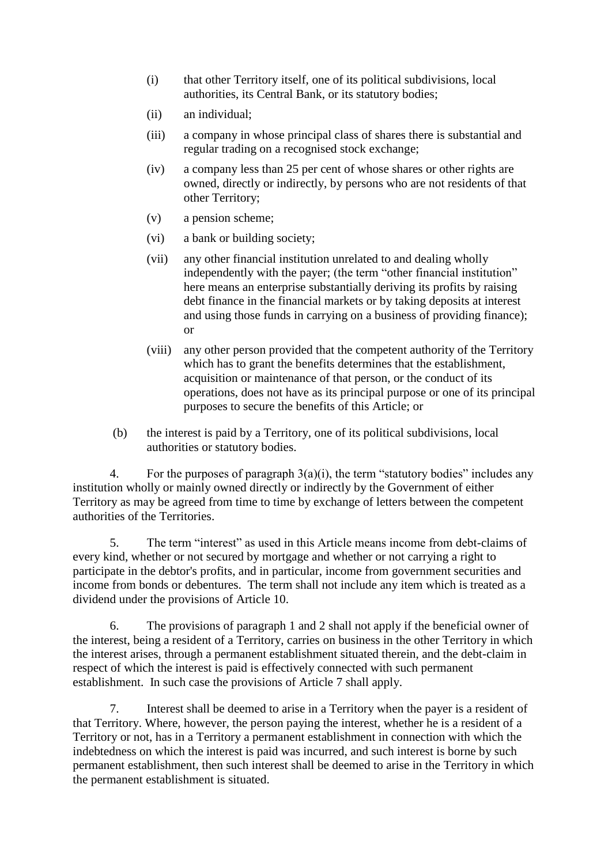- (i) that other Territory itself, one of its political subdivisions, local authorities, its Central Bank, or its statutory bodies;
- (ii) an individual;
- (iii) a company in whose principal class of shares there is substantial and regular trading on a recognised stock exchange;
- (iv) a company less than 25 per cent of whose shares or other rights are owned, directly or indirectly, by persons who are not residents of that other Territory;
- (v) a pension scheme;
- (vi) a bank or building society;
- (vii) any other financial institution unrelated to and dealing wholly independently with the payer; (the term "other financial institution" here means an enterprise substantially deriving its profits by raising debt finance in the financial markets or by taking deposits at interest and using those funds in carrying on a business of providing finance); or
- (viii) any other person provided that the competent authority of the Territory which has to grant the benefits determines that the establishment, acquisition or maintenance of that person, or the conduct of its operations, does not have as its principal purpose or one of its principal purposes to secure the benefits of this Article; or
- (b) the interest is paid by a Territory, one of its political subdivisions, local authorities or statutory bodies.

4. For the purposes of paragraph 3(a)(i), the term "statutory bodies" includes any institution wholly or mainly owned directly or indirectly by the Government of either Territory as may be agreed from time to time by exchange of letters between the competent authorities of the Territories.

5. The term "interest" as used in this Article means income from debt-claims of every kind, whether or not secured by mortgage and whether or not carrying a right to participate in the debtor's profits, and in particular, income from government securities and income from bonds or debentures. The term shall not include any item which is treated as a dividend under the provisions of Article 10.

6. The provisions of paragraph 1 and 2 shall not apply if the beneficial owner of the interest, being a resident of a Territory, carries on business in the other Territory in which the interest arises, through a permanent establishment situated therein, and the debt-claim in respect of which the interest is paid is effectively connected with such permanent establishment. In such case the provisions of Article 7 shall apply.

7. Interest shall be deemed to arise in a Territory when the payer is a resident of that Territory. Where, however, the person paying the interest, whether he is a resident of a Territory or not, has in a Territory a permanent establishment in connection with which the indebtedness on which the interest is paid was incurred, and such interest is borne by such permanent establishment, then such interest shall be deemed to arise in the Territory in which the permanent establishment is situated.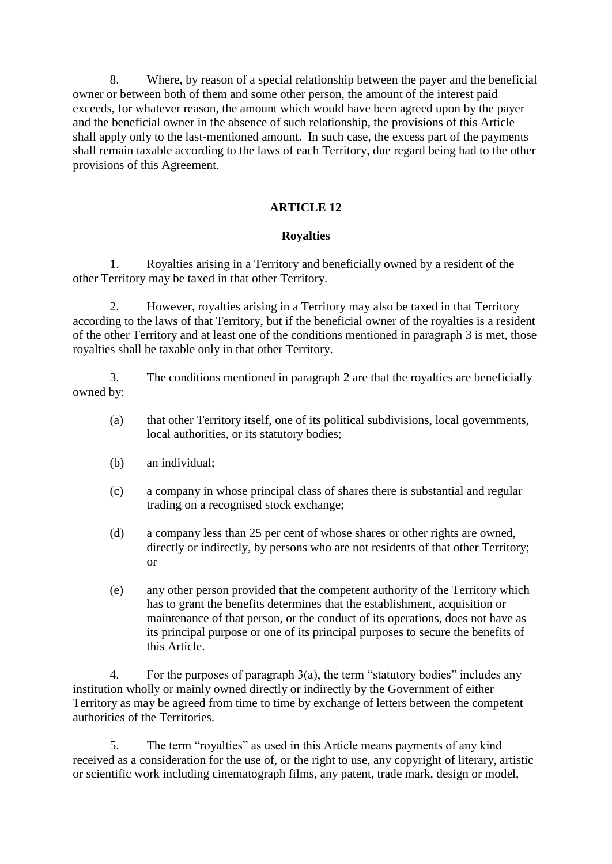8. Where, by reason of a special relationship between the payer and the beneficial owner or between both of them and some other person, the amount of the interest paid exceeds, for whatever reason, the amount which would have been agreed upon by the payer and the beneficial owner in the absence of such relationship, the provisions of this Article shall apply only to the last-mentioned amount. In such case, the excess part of the payments shall remain taxable according to the laws of each Territory, due regard being had to the other provisions of this Agreement.

### **ARTICLE 12**

#### **Royalties**

1. Royalties arising in a Territory and beneficially owned by a resident of the other Territory may be taxed in that other Territory.

2. However, royalties arising in a Territory may also be taxed in that Territory according to the laws of that Territory, but if the beneficial owner of the royalties is a resident of the other Territory and at least one of the conditions mentioned in paragraph 3 is met, those royalties shall be taxable only in that other Territory.

3. The conditions mentioned in paragraph 2 are that the royalties are beneficially owned by:

- (a) that other Territory itself, one of its political subdivisions, local governments, local authorities, or its statutory bodies;
- (b) an individual;
- (c) a company in whose principal class of shares there is substantial and regular trading on a recognised stock exchange;
- (d) a company less than 25 per cent of whose shares or other rights are owned, directly or indirectly, by persons who are not residents of that other Territory; or
- (e) any other person provided that the competent authority of the Territory which has to grant the benefits determines that the establishment, acquisition or maintenance of that person, or the conduct of its operations, does not have as its principal purpose or one of its principal purposes to secure the benefits of this Article.

4. For the purposes of paragraph 3(a), the term "statutory bodies" includes any institution wholly or mainly owned directly or indirectly by the Government of either Territory as may be agreed from time to time by exchange of letters between the competent authorities of the Territories.

5. The term "royalties" as used in this Article means payments of any kind received as a consideration for the use of, or the right to use, any copyright of literary, artistic or scientific work including cinematograph films, any patent, trade mark, design or model,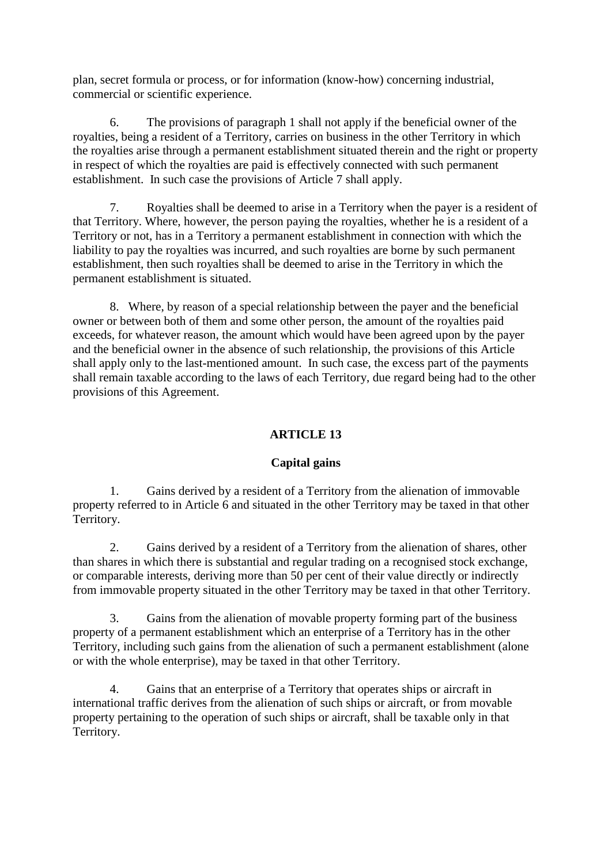plan, secret formula or process, or for information (know-how) concerning industrial, commercial or scientific experience.

6. The provisions of paragraph 1 shall not apply if the beneficial owner of the royalties, being a resident of a Territory, carries on business in the other Territory in which the royalties arise through a permanent establishment situated therein and the right or property in respect of which the royalties are paid is effectively connected with such permanent establishment. In such case the provisions of Article 7 shall apply.

7. Royalties shall be deemed to arise in a Territory when the payer is a resident of that Territory. Where, however, the person paying the royalties, whether he is a resident of a Territory or not, has in a Territory a permanent establishment in connection with which the liability to pay the royalties was incurred, and such royalties are borne by such permanent establishment, then such royalties shall be deemed to arise in the Territory in which the permanent establishment is situated.

8. Where, by reason of a special relationship between the payer and the beneficial owner or between both of them and some other person, the amount of the royalties paid exceeds, for whatever reason, the amount which would have been agreed upon by the payer and the beneficial owner in the absence of such relationship, the provisions of this Article shall apply only to the last-mentioned amount. In such case, the excess part of the payments shall remain taxable according to the laws of each Territory, due regard being had to the other provisions of this Agreement.

## **ARTICLE 13**

## **Capital gains**

1. Gains derived by a resident of a Territory from the alienation of immovable property referred to in Article 6 and situated in the other Territory may be taxed in that other Territory.

2. Gains derived by a resident of a Territory from the alienation of shares, other than shares in which there is substantial and regular trading on a recognised stock exchange, or comparable interests, deriving more than 50 per cent of their value directly or indirectly from immovable property situated in the other Territory may be taxed in that other Territory.

3. Gains from the alienation of movable property forming part of the business property of a permanent establishment which an enterprise of a Territory has in the other Territory, including such gains from the alienation of such a permanent establishment (alone or with the whole enterprise), may be taxed in that other Territory.

4. Gains that an enterprise of a Territory that operates ships or aircraft in international traffic derives from the alienation of such ships or aircraft, or from movable property pertaining to the operation of such ships or aircraft, shall be taxable only in that Territory.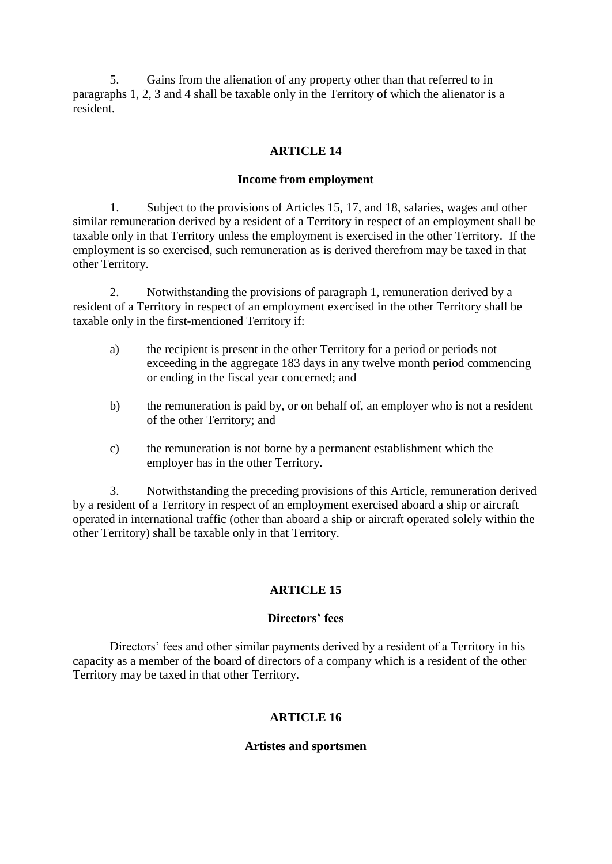5. Gains from the alienation of any property other than that referred to in paragraphs 1, 2, 3 and 4 shall be taxable only in the Territory of which the alienator is a resident.

### **ARTICLE 14**

#### **Income from employment**

1. Subject to the provisions of Articles 15, 17, and 18, salaries, wages and other similar remuneration derived by a resident of a Territory in respect of an employment shall be taxable only in that Territory unless the employment is exercised in the other Territory. If the employment is so exercised, such remuneration as is derived therefrom may be taxed in that other Territory.

2. Notwithstanding the provisions of paragraph 1, remuneration derived by a resident of a Territory in respect of an employment exercised in the other Territory shall be taxable only in the first-mentioned Territory if:

- a) the recipient is present in the other Territory for a period or periods not exceeding in the aggregate 183 days in any twelve month period commencing or ending in the fiscal year concerned; and
- b) the remuneration is paid by, or on behalf of, an employer who is not a resident of the other Territory; and
- c) the remuneration is not borne by a permanent establishment which the employer has in the other Territory.

3. Notwithstanding the preceding provisions of this Article, remuneration derived by a resident of a Territory in respect of an employment exercised aboard a ship or aircraft operated in international traffic (other than aboard a ship or aircraft operated solely within the other Territory) shall be taxable only in that Territory.

#### **ARTICLE 15**

#### **Directors' fees**

Directors' fees and other similar payments derived by a resident of a Territory in his capacity as a member of the board of directors of a company which is a resident of the other Territory may be taxed in that other Territory.

#### **ARTICLE 16**

#### **Artistes and sportsmen**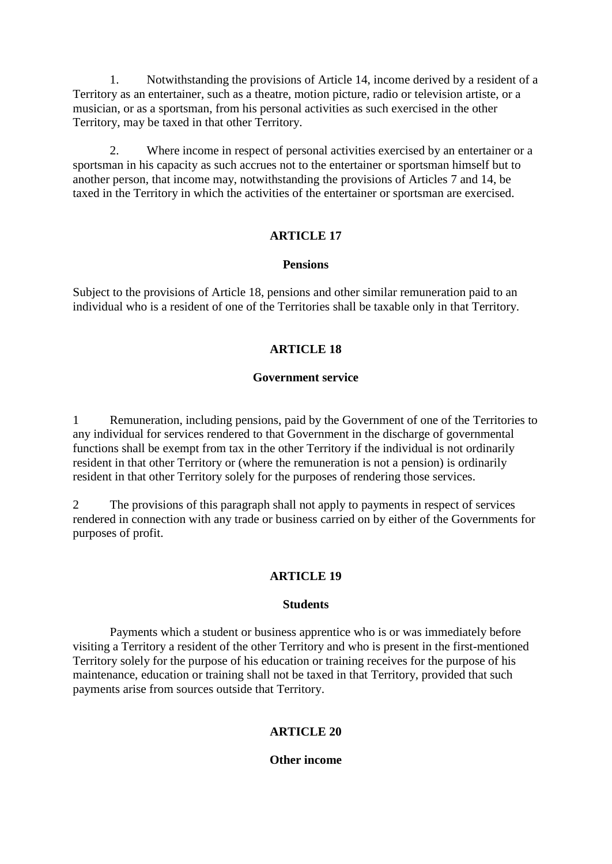1. Notwithstanding the provisions of Article 14, income derived by a resident of a Territory as an entertainer, such as a theatre, motion picture, radio or television artiste, or a musician, or as a sportsman, from his personal activities as such exercised in the other Territory, may be taxed in that other Territory.

2. Where income in respect of personal activities exercised by an entertainer or a sportsman in his capacity as such accrues not to the entertainer or sportsman himself but to another person, that income may, notwithstanding the provisions of Articles 7 and 14, be taxed in the Territory in which the activities of the entertainer or sportsman are exercised.

## **ARTICLE 17**

#### **Pensions**

Subject to the provisions of Article 18, pensions and other similar remuneration paid to an individual who is a resident of one of the Territories shall be taxable only in that Territory.

## **ARTICLE 18**

### **Government service**

1 Remuneration, including pensions, paid by the Government of one of the Territories to any individual for services rendered to that Government in the discharge of governmental functions shall be exempt from tax in the other Territory if the individual is not ordinarily resident in that other Territory or (where the remuneration is not a pension) is ordinarily resident in that other Territory solely for the purposes of rendering those services.

2 The provisions of this paragraph shall not apply to payments in respect of services rendered in connection with any trade or business carried on by either of the Governments for purposes of profit.

## **ARTICLE 19**

#### **Students**

Payments which a student or business apprentice who is or was immediately before visiting a Territory a resident of the other Territory and who is present in the first-mentioned Territory solely for the purpose of his education or training receives for the purpose of his maintenance, education or training shall not be taxed in that Territory, provided that such payments arise from sources outside that Territory.

# **ARTICLE 20**

#### **Other income**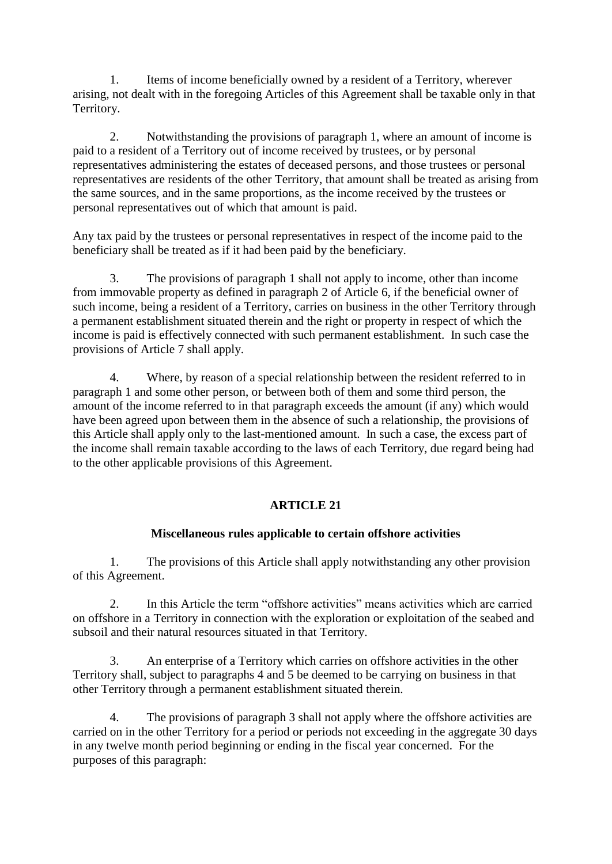1. Items of income beneficially owned by a resident of a Territory, wherever arising, not dealt with in the foregoing Articles of this Agreement shall be taxable only in that Territory.

2. Notwithstanding the provisions of paragraph 1, where an amount of income is paid to a resident of a Territory out of income received by trustees, or by personal representatives administering the estates of deceased persons, and those trustees or personal representatives are residents of the other Territory, that amount shall be treated as arising from the same sources, and in the same proportions, as the income received by the trustees or personal representatives out of which that amount is paid.

Any tax paid by the trustees or personal representatives in respect of the income paid to the beneficiary shall be treated as if it had been paid by the beneficiary.

3. The provisions of paragraph 1 shall not apply to income, other than income from immovable property as defined in paragraph 2 of Article 6, if the beneficial owner of such income, being a resident of a Territory, carries on business in the other Territory through a permanent establishment situated therein and the right or property in respect of which the income is paid is effectively connected with such permanent establishment. In such case the provisions of Article 7 shall apply.

4. Where, by reason of a special relationship between the resident referred to in paragraph 1 and some other person, or between both of them and some third person, the amount of the income referred to in that paragraph exceeds the amount (if any) which would have been agreed upon between them in the absence of such a relationship, the provisions of this Article shall apply only to the last-mentioned amount. In such a case, the excess part of the income shall remain taxable according to the laws of each Territory, due regard being had to the other applicable provisions of this Agreement.

# **ARTICLE 21**

# **Miscellaneous rules applicable to certain offshore activities**

1. The provisions of this Article shall apply notwithstanding any other provision of this Agreement.

2. In this Article the term "offshore activities" means activities which are carried on offshore in a Territory in connection with the exploration or exploitation of the seabed and subsoil and their natural resources situated in that Territory.

3. An enterprise of a Territory which carries on offshore activities in the other Territory shall, subject to paragraphs 4 and 5 be deemed to be carrying on business in that other Territory through a permanent establishment situated therein.

4. The provisions of paragraph 3 shall not apply where the offshore activities are carried on in the other Territory for a period or periods not exceeding in the aggregate 30 days in any twelve month period beginning or ending in the fiscal year concerned. For the purposes of this paragraph: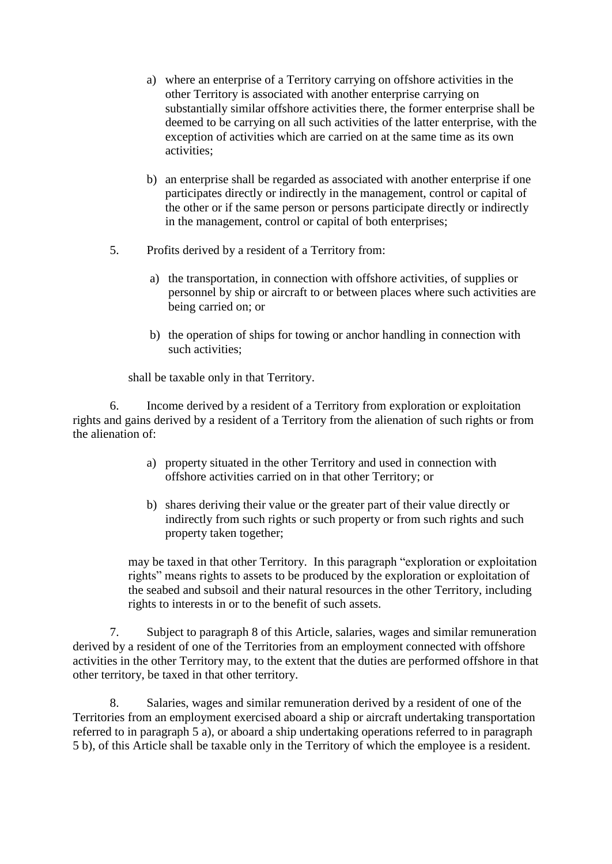- a) where an enterprise of a Territory carrying on offshore activities in the other Territory is associated with another enterprise carrying on substantially similar offshore activities there, the former enterprise shall be deemed to be carrying on all such activities of the latter enterprise, with the exception of activities which are carried on at the same time as its own activities;
- b) an enterprise shall be regarded as associated with another enterprise if one participates directly or indirectly in the management, control or capital of the other or if the same person or persons participate directly or indirectly in the management, control or capital of both enterprises;
- 5. Profits derived by a resident of a Territory from:
	- a) the transportation, in connection with offshore activities, of supplies or personnel by ship or aircraft to or between places where such activities are being carried on; or
	- b) the operation of ships for towing or anchor handling in connection with such activities;

shall be taxable only in that Territory.

6. Income derived by a resident of a Territory from exploration or exploitation rights and gains derived by a resident of a Territory from the alienation of such rights or from the alienation of:

- a) property situated in the other Territory and used in connection with offshore activities carried on in that other Territory; or
- b) shares deriving their value or the greater part of their value directly or indirectly from such rights or such property or from such rights and such property taken together;

may be taxed in that other Territory. In this paragraph "exploration or exploitation rights" means rights to assets to be produced by the exploration or exploitation of the seabed and subsoil and their natural resources in the other Territory, including rights to interests in or to the benefit of such assets.

7. Subject to paragraph 8 of this Article, salaries, wages and similar remuneration derived by a resident of one of the Territories from an employment connected with offshore activities in the other Territory may, to the extent that the duties are performed offshore in that other territory, be taxed in that other territory.

8. Salaries, wages and similar remuneration derived by a resident of one of the Territories from an employment exercised aboard a ship or aircraft undertaking transportation referred to in paragraph 5 a), or aboard a ship undertaking operations referred to in paragraph 5 b), of this Article shall be taxable only in the Territory of which the employee is a resident.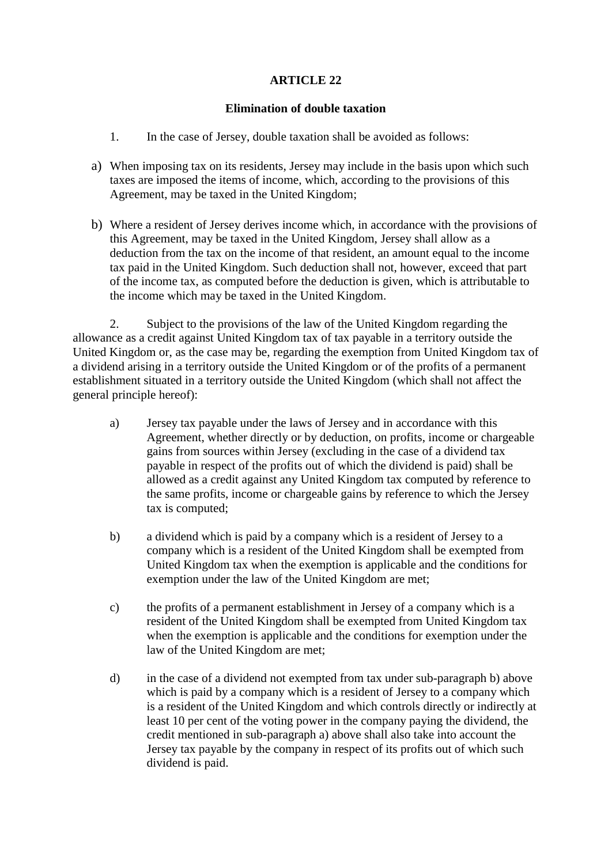## **ARTICLE 22**

#### **Elimination of double taxation**

- 1. In the case of Jersey, double taxation shall be avoided as follows:
- a) When imposing tax on its residents, Jersey may include in the basis upon which such taxes are imposed the items of income, which, according to the provisions of this Agreement, may be taxed in the United Kingdom;
- b) Where a resident of Jersey derives income which, in accordance with the provisions of this Agreement, may be taxed in the United Kingdom, Jersey shall allow as a deduction from the tax on the income of that resident, an amount equal to the income tax paid in the United Kingdom. Such deduction shall not, however, exceed that part of the income tax, as computed before the deduction is given, which is attributable to the income which may be taxed in the United Kingdom.

2. Subject to the provisions of the law of the United Kingdom regarding the allowance as a credit against United Kingdom tax of tax payable in a territory outside the United Kingdom or, as the case may be, regarding the exemption from United Kingdom tax of a dividend arising in a territory outside the United Kingdom or of the profits of a permanent establishment situated in a territory outside the United Kingdom (which shall not affect the general principle hereof):

- a) Jersey tax payable under the laws of Jersey and in accordance with this Agreement, whether directly or by deduction, on profits, income or chargeable gains from sources within Jersey (excluding in the case of a dividend tax payable in respect of the profits out of which the dividend is paid) shall be allowed as a credit against any United Kingdom tax computed by reference to the same profits, income or chargeable gains by reference to which the Jersey tax is computed;
- b) a dividend which is paid by a company which is a resident of Jersey to a company which is a resident of the United Kingdom shall be exempted from United Kingdom tax when the exemption is applicable and the conditions for exemption under the law of the United Kingdom are met;
- c) the profits of a permanent establishment in Jersey of a company which is a resident of the United Kingdom shall be exempted from United Kingdom tax when the exemption is applicable and the conditions for exemption under the law of the United Kingdom are met;
- d) in the case of a dividend not exempted from tax under sub-paragraph b) above which is paid by a company which is a resident of Jersey to a company which is a resident of the United Kingdom and which controls directly or indirectly at least 10 per cent of the voting power in the company paying the dividend, the credit mentioned in sub-paragraph a) above shall also take into account the Jersey tax payable by the company in respect of its profits out of which such dividend is paid.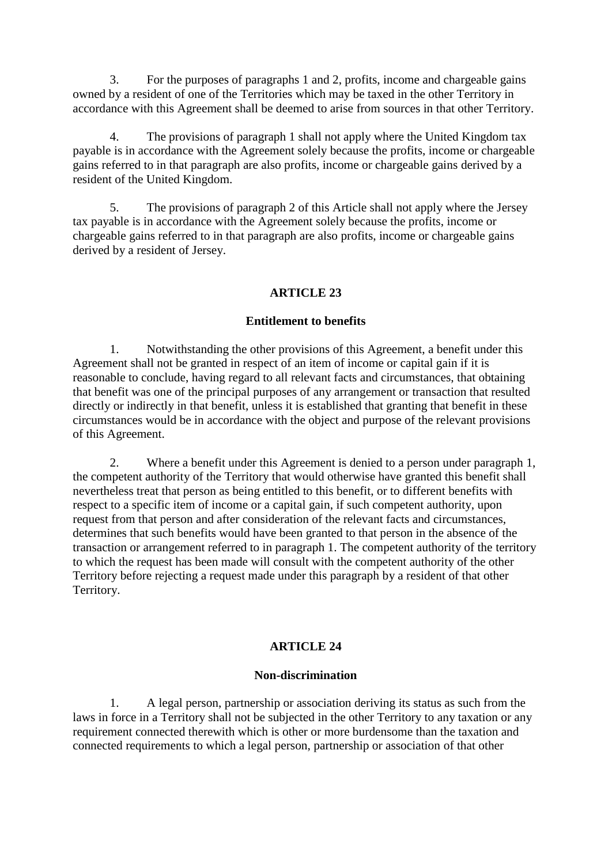3. For the purposes of paragraphs 1 and 2, profits, income and chargeable gains owned by a resident of one of the Territories which may be taxed in the other Territory in accordance with this Agreement shall be deemed to arise from sources in that other Territory.

4. The provisions of paragraph 1 shall not apply where the United Kingdom tax payable is in accordance with the Agreement solely because the profits, income or chargeable gains referred to in that paragraph are also profits, income or chargeable gains derived by a resident of the United Kingdom.

5. The provisions of paragraph 2 of this Article shall not apply where the Jersey tax payable is in accordance with the Agreement solely because the profits, income or chargeable gains referred to in that paragraph are also profits, income or chargeable gains derived by a resident of Jersey.

## **ARTICLE 23**

#### **Entitlement to benefits**

1. Notwithstanding the other provisions of this Agreement, a benefit under this Agreement shall not be granted in respect of an item of income or capital gain if it is reasonable to conclude, having regard to all relevant facts and circumstances, that obtaining that benefit was one of the principal purposes of any arrangement or transaction that resulted directly or indirectly in that benefit, unless it is established that granting that benefit in these circumstances would be in accordance with the object and purpose of the relevant provisions of this Agreement.

2. Where a benefit under this Agreement is denied to a person under paragraph 1, the competent authority of the Territory that would otherwise have granted this benefit shall nevertheless treat that person as being entitled to this benefit, or to different benefits with respect to a specific item of income or a capital gain, if such competent authority, upon request from that person and after consideration of the relevant facts and circumstances, determines that such benefits would have been granted to that person in the absence of the transaction or arrangement referred to in paragraph 1. The competent authority of the territory to which the request has been made will consult with the competent authority of the other Territory before rejecting a request made under this paragraph by a resident of that other Territory.

### **ARTICLE 24**

#### **Non-discrimination**

1. A legal person, partnership or association deriving its status as such from the laws in force in a Territory shall not be subjected in the other Territory to any taxation or any requirement connected therewith which is other or more burdensome than the taxation and connected requirements to which a legal person, partnership or association of that other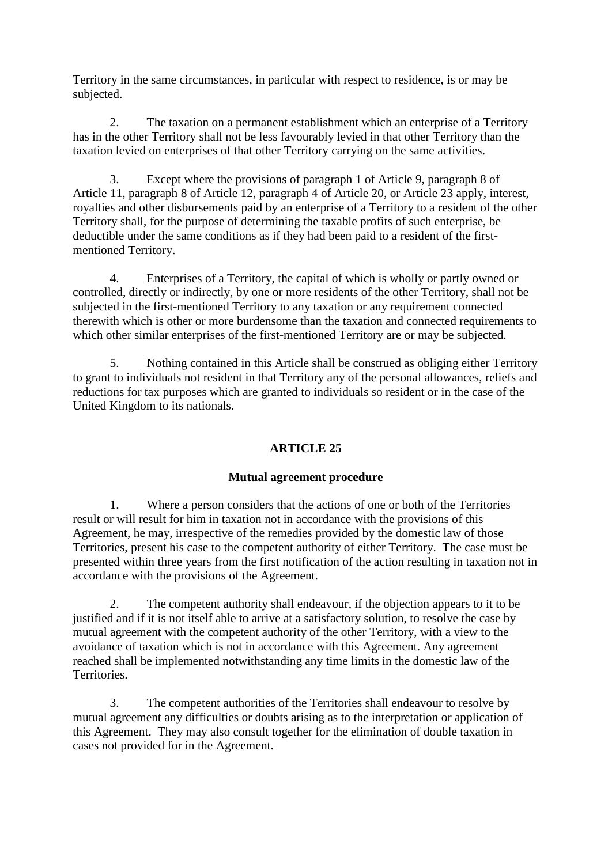Territory in the same circumstances, in particular with respect to residence, is or may be subjected.

2. The taxation on a permanent establishment which an enterprise of a Territory has in the other Territory shall not be less favourably levied in that other Territory than the taxation levied on enterprises of that other Territory carrying on the same activities.

3. Except where the provisions of paragraph 1 of Article 9, paragraph 8 of Article 11, paragraph 8 of Article 12, paragraph 4 of Article 20, or Article 23 apply, interest, royalties and other disbursements paid by an enterprise of a Territory to a resident of the other Territory shall, for the purpose of determining the taxable profits of such enterprise, be deductible under the same conditions as if they had been paid to a resident of the firstmentioned Territory.

4. Enterprises of a Territory, the capital of which is wholly or partly owned or controlled, directly or indirectly, by one or more residents of the other Territory, shall not be subjected in the first-mentioned Territory to any taxation or any requirement connected therewith which is other or more burdensome than the taxation and connected requirements to which other similar enterprises of the first-mentioned Territory are or may be subjected.

5. Nothing contained in this Article shall be construed as obliging either Territory to grant to individuals not resident in that Territory any of the personal allowances, reliefs and reductions for tax purposes which are granted to individuals so resident or in the case of the United Kingdom to its nationals.

# **ARTICLE 25**

## **Mutual agreement procedure**

1. Where a person considers that the actions of one or both of the Territories result or will result for him in taxation not in accordance with the provisions of this Agreement, he may, irrespective of the remedies provided by the domestic law of those Territories, present his case to the competent authority of either Territory. The case must be presented within three years from the first notification of the action resulting in taxation not in accordance with the provisions of the Agreement.

2. The competent authority shall endeavour, if the objection appears to it to be justified and if it is not itself able to arrive at a satisfactory solution, to resolve the case by mutual agreement with the competent authority of the other Territory, with a view to the avoidance of taxation which is not in accordance with this Agreement. Any agreement reached shall be implemented notwithstanding any time limits in the domestic law of the Territories.

3. The competent authorities of the Territories shall endeavour to resolve by mutual agreement any difficulties or doubts arising as to the interpretation or application of this Agreement. They may also consult together for the elimination of double taxation in cases not provided for in the Agreement.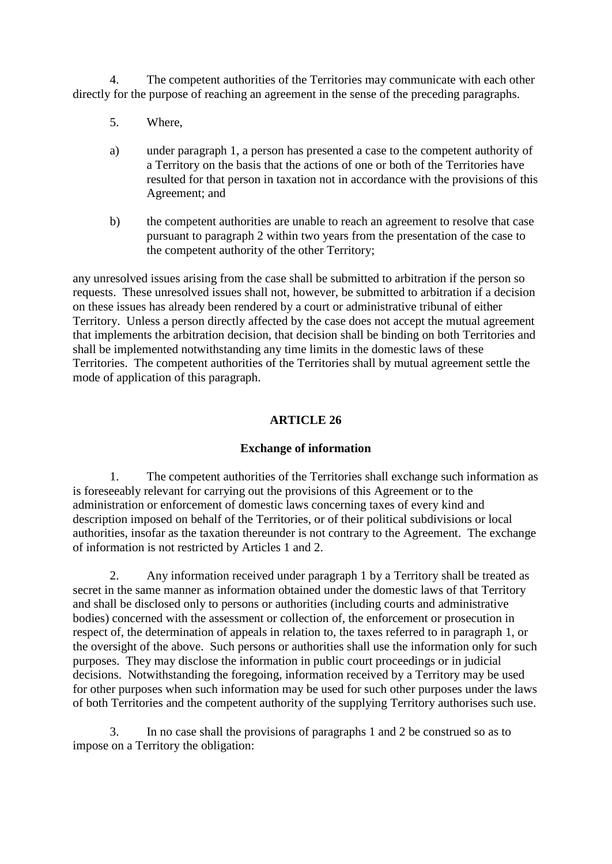4. The competent authorities of the Territories may communicate with each other directly for the purpose of reaching an agreement in the sense of the preceding paragraphs.

- 5. Where,
- a) under paragraph 1, a person has presented a case to the competent authority of a Territory on the basis that the actions of one or both of the Territories have resulted for that person in taxation not in accordance with the provisions of this Agreement; and
- b) the competent authorities are unable to reach an agreement to resolve that case pursuant to paragraph 2 within two years from the presentation of the case to the competent authority of the other Territory;

any unresolved issues arising from the case shall be submitted to arbitration if the person so requests. These unresolved issues shall not, however, be submitted to arbitration if a decision on these issues has already been rendered by a court or administrative tribunal of either Territory. Unless a person directly affected by the case does not accept the mutual agreement that implements the arbitration decision, that decision shall be binding on both Territories and shall be implemented notwithstanding any time limits in the domestic laws of these Territories. The competent authorities of the Territories shall by mutual agreement settle the mode of application of this paragraph.

## **ARTICLE 26**

## **Exchange of information**

1. The competent authorities of the Territories shall exchange such information as is foreseeably relevant for carrying out the provisions of this Agreement or to the administration or enforcement of domestic laws concerning taxes of every kind and description imposed on behalf of the Territories, or of their political subdivisions or local authorities, insofar as the taxation thereunder is not contrary to the Agreement. The exchange of information is not restricted by Articles 1 and 2.

2. Any information received under paragraph 1 by a Territory shall be treated as secret in the same manner as information obtained under the domestic laws of that Territory and shall be disclosed only to persons or authorities (including courts and administrative bodies) concerned with the assessment or collection of, the enforcement or prosecution in respect of, the determination of appeals in relation to, the taxes referred to in paragraph 1, or the oversight of the above. Such persons or authorities shall use the information only for such purposes. They may disclose the information in public court proceedings or in judicial decisions. Notwithstanding the foregoing, information received by a Territory may be used for other purposes when such information may be used for such other purposes under the laws of both Territories and the competent authority of the supplying Territory authorises such use.

3. In no case shall the provisions of paragraphs 1 and 2 be construed so as to impose on a Territory the obligation: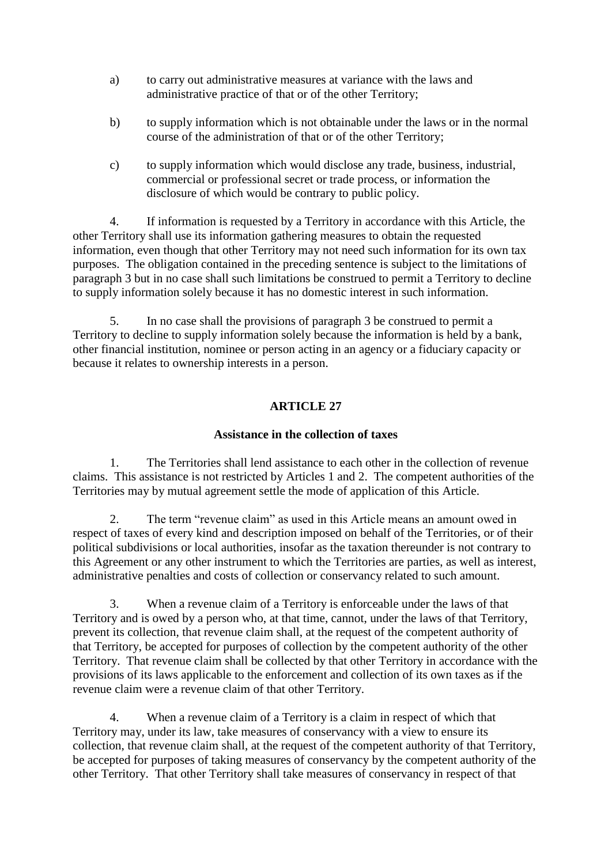- a) to carry out administrative measures at variance with the laws and administrative practice of that or of the other Territory;
- b) to supply information which is not obtainable under the laws or in the normal course of the administration of that or of the other Territory;
- c) to supply information which would disclose any trade, business, industrial, commercial or professional secret or trade process, or information the disclosure of which would be contrary to public policy.

4. If information is requested by a Territory in accordance with this Article, the other Territory shall use its information gathering measures to obtain the requested information, even though that other Territory may not need such information for its own tax purposes. The obligation contained in the preceding sentence is subject to the limitations of paragraph 3 but in no case shall such limitations be construed to permit a Territory to decline to supply information solely because it has no domestic interest in such information.

5. In no case shall the provisions of paragraph 3 be construed to permit a Territory to decline to supply information solely because the information is held by a bank, other financial institution, nominee or person acting in an agency or a fiduciary capacity or because it relates to ownership interests in a person.

# **ARTICLE 27**

## **Assistance in the collection of taxes**

1. The Territories shall lend assistance to each other in the collection of revenue claims. This assistance is not restricted by Articles 1 and 2. The competent authorities of the Territories may by mutual agreement settle the mode of application of this Article.

2. The term "revenue claim" as used in this Article means an amount owed in respect of taxes of every kind and description imposed on behalf of the Territories, or of their political subdivisions or local authorities, insofar as the taxation thereunder is not contrary to this Agreement or any other instrument to which the Territories are parties, as well as interest, administrative penalties and costs of collection or conservancy related to such amount.

3. When a revenue claim of a Territory is enforceable under the laws of that Territory and is owed by a person who, at that time, cannot, under the laws of that Territory, prevent its collection, that revenue claim shall, at the request of the competent authority of that Territory, be accepted for purposes of collection by the competent authority of the other Territory. That revenue claim shall be collected by that other Territory in accordance with the provisions of its laws applicable to the enforcement and collection of its own taxes as if the revenue claim were a revenue claim of that other Territory.

4. When a revenue claim of a Territory is a claim in respect of which that Territory may, under its law, take measures of conservancy with a view to ensure its collection, that revenue claim shall, at the request of the competent authority of that Territory, be accepted for purposes of taking measures of conservancy by the competent authority of the other Territory. That other Territory shall take measures of conservancy in respect of that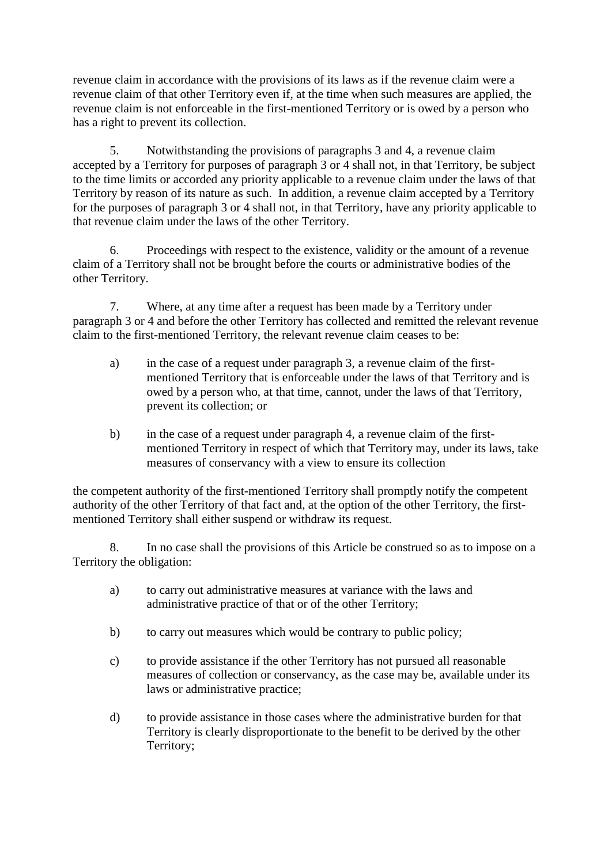revenue claim in accordance with the provisions of its laws as if the revenue claim were a revenue claim of that other Territory even if, at the time when such measures are applied, the revenue claim is not enforceable in the first-mentioned Territory or is owed by a person who has a right to prevent its collection.

5. Notwithstanding the provisions of paragraphs 3 and 4, a revenue claim accepted by a Territory for purposes of paragraph 3 or 4 shall not, in that Territory, be subject to the time limits or accorded any priority applicable to a revenue claim under the laws of that Territory by reason of its nature as such. In addition, a revenue claim accepted by a Territory for the purposes of paragraph 3 or 4 shall not, in that Territory, have any priority applicable to that revenue claim under the laws of the other Territory.

6. Proceedings with respect to the existence, validity or the amount of a revenue claim of a Territory shall not be brought before the courts or administrative bodies of the other Territory.

7. Where, at any time after a request has been made by a Territory under paragraph 3 or 4 and before the other Territory has collected and remitted the relevant revenue claim to the first-mentioned Territory, the relevant revenue claim ceases to be:

- a) in the case of a request under paragraph 3, a revenue claim of the firstmentioned Territory that is enforceable under the laws of that Territory and is owed by a person who, at that time, cannot, under the laws of that Territory, prevent its collection; or
- b) in the case of a request under paragraph 4, a revenue claim of the firstmentioned Territory in respect of which that Territory may, under its laws, take measures of conservancy with a view to ensure its collection

the competent authority of the first-mentioned Territory shall promptly notify the competent authority of the other Territory of that fact and, at the option of the other Territory, the firstmentioned Territory shall either suspend or withdraw its request.

8. In no case shall the provisions of this Article be construed so as to impose on a Territory the obligation:

- a) to carry out administrative measures at variance with the laws and administrative practice of that or of the other Territory;
- b) to carry out measures which would be contrary to public policy;
- c) to provide assistance if the other Territory has not pursued all reasonable measures of collection or conservancy, as the case may be, available under its laws or administrative practice;
- d) to provide assistance in those cases where the administrative burden for that Territory is clearly disproportionate to the benefit to be derived by the other Territory;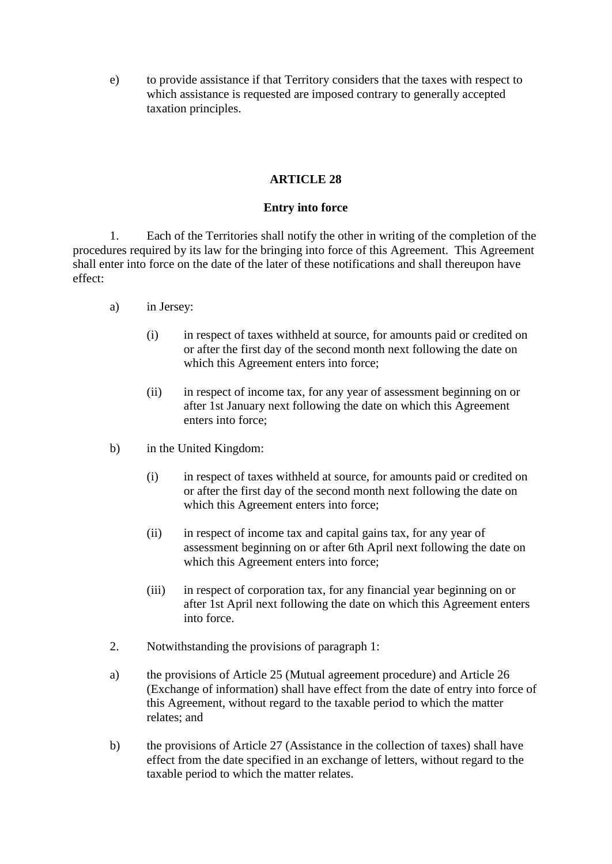e) to provide assistance if that Territory considers that the taxes with respect to which assistance is requested are imposed contrary to generally accepted taxation principles.

### **ARTICLE 28**

### **Entry into force**

1. Each of the Territories shall notify the other in writing of the completion of the procedures required by its law for the bringing into force of this Agreement. This Agreement shall enter into force on the date of the later of these notifications and shall thereupon have effect:

- a) in Jersey:
	- (i) in respect of taxes withheld at source, for amounts paid or credited on or after the first day of the second month next following the date on which this Agreement enters into force;
	- (ii) in respect of income tax, for any year of assessment beginning on or after 1st January next following the date on which this Agreement enters into force;
- b) in the United Kingdom:
	- (i) in respect of taxes withheld at source, for amounts paid or credited on or after the first day of the second month next following the date on which this Agreement enters into force;
	- (ii) in respect of income tax and capital gains tax, for any year of assessment beginning on or after 6th April next following the date on which this Agreement enters into force;
	- (iii) in respect of corporation tax, for any financial year beginning on or after 1st April next following the date on which this Agreement enters into force.
- 2. Notwithstanding the provisions of paragraph 1:
- a) the provisions of Article 25 (Mutual agreement procedure) and Article 26 (Exchange of information) shall have effect from the date of entry into force of this Agreement, without regard to the taxable period to which the matter relates; and
- b) the provisions of Article 27 (Assistance in the collection of taxes) shall have effect from the date specified in an exchange of letters, without regard to the taxable period to which the matter relates.